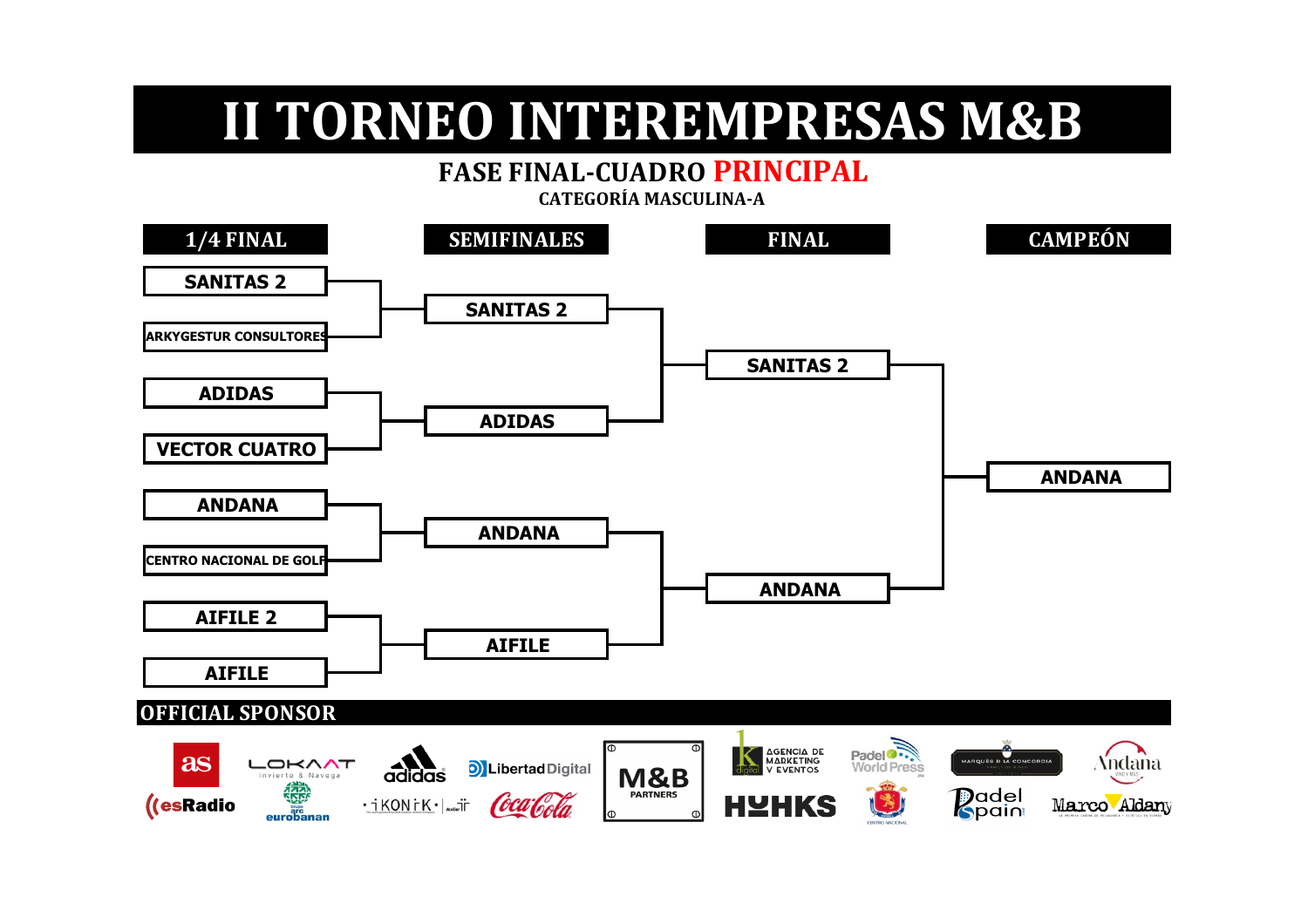#### **FASE FINAL-CUADRO PRINCIPAL**

**1/4 FINAL SEMIFINALES FINAL CAMPEÓN SANITAS 2 SANITAS 2 ARKYGESTUR CONSULTORE SANITAS 2 ADIDAS ADIDAS VECTOR CUATRO ANDANA ANDANA ANDANA CENTRO NACIONAL DE GOL ANDANA AIFILE 2 AIFILEAIFILE OFFICIAL SPONSOR** Padel<sup>o</sup> AGENCIA DE<br>
MARKETING<br>
U EVENTOS MARQUES D LA CONCOR Andana as LOKAAT **D**Libertad Digital

M&B

**PARTNERS** 

**HYHKS** 

**P**adel<br>Spain

Marco Aldany

 $\overline{\mathrm{a}^{\mathrm{h}}_{\mathrm{d}a}}$ 

·iKONiK·| auaiT

Coca Cola

ovierte & Navena

eurobanar

((esRadio

 **CATEGORÍA MASCULINA-A**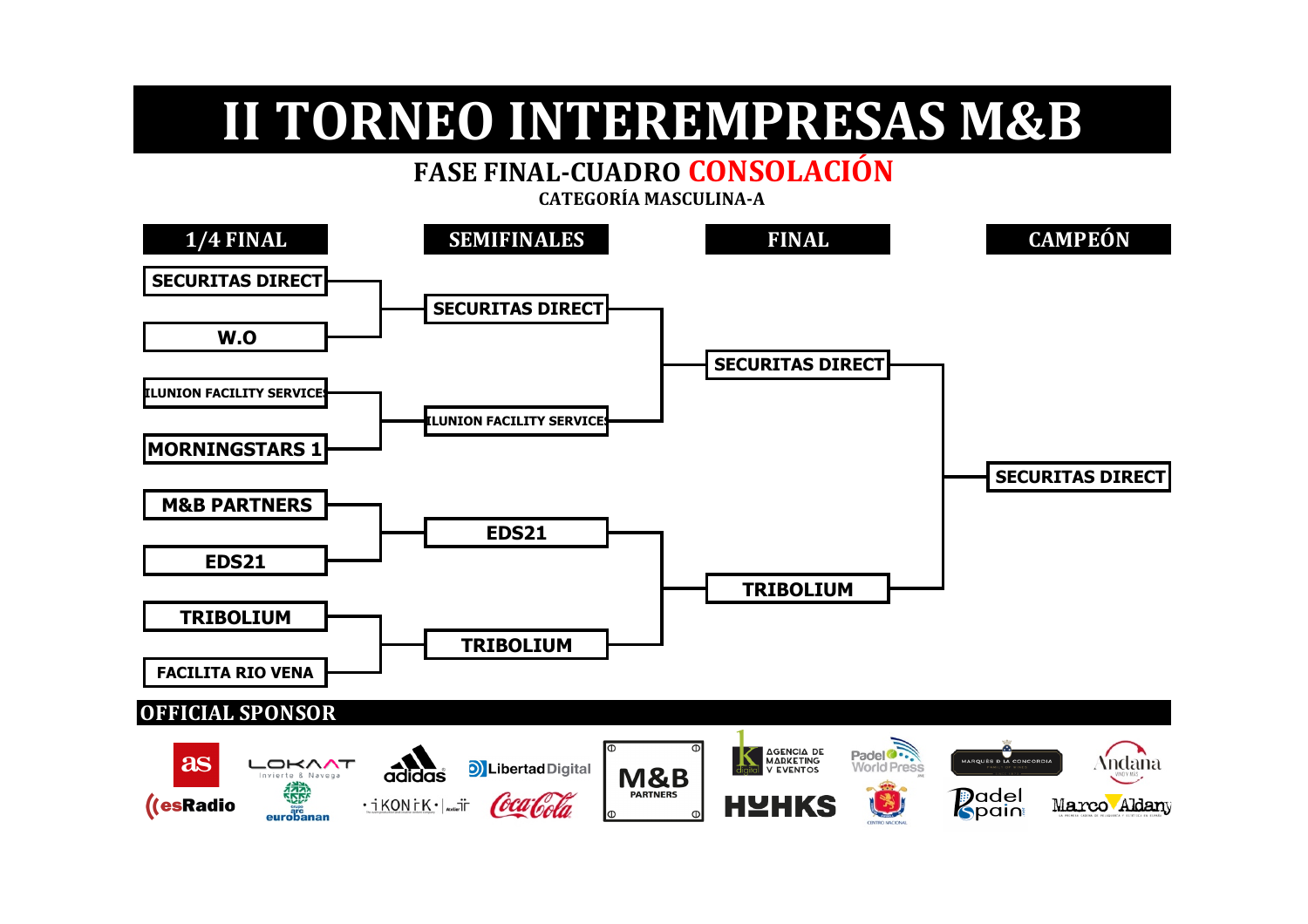#### **FASE FINAL-CUADRO CONSOLACIÓN**

 **CATEGORÍA MASCULINA-A** 

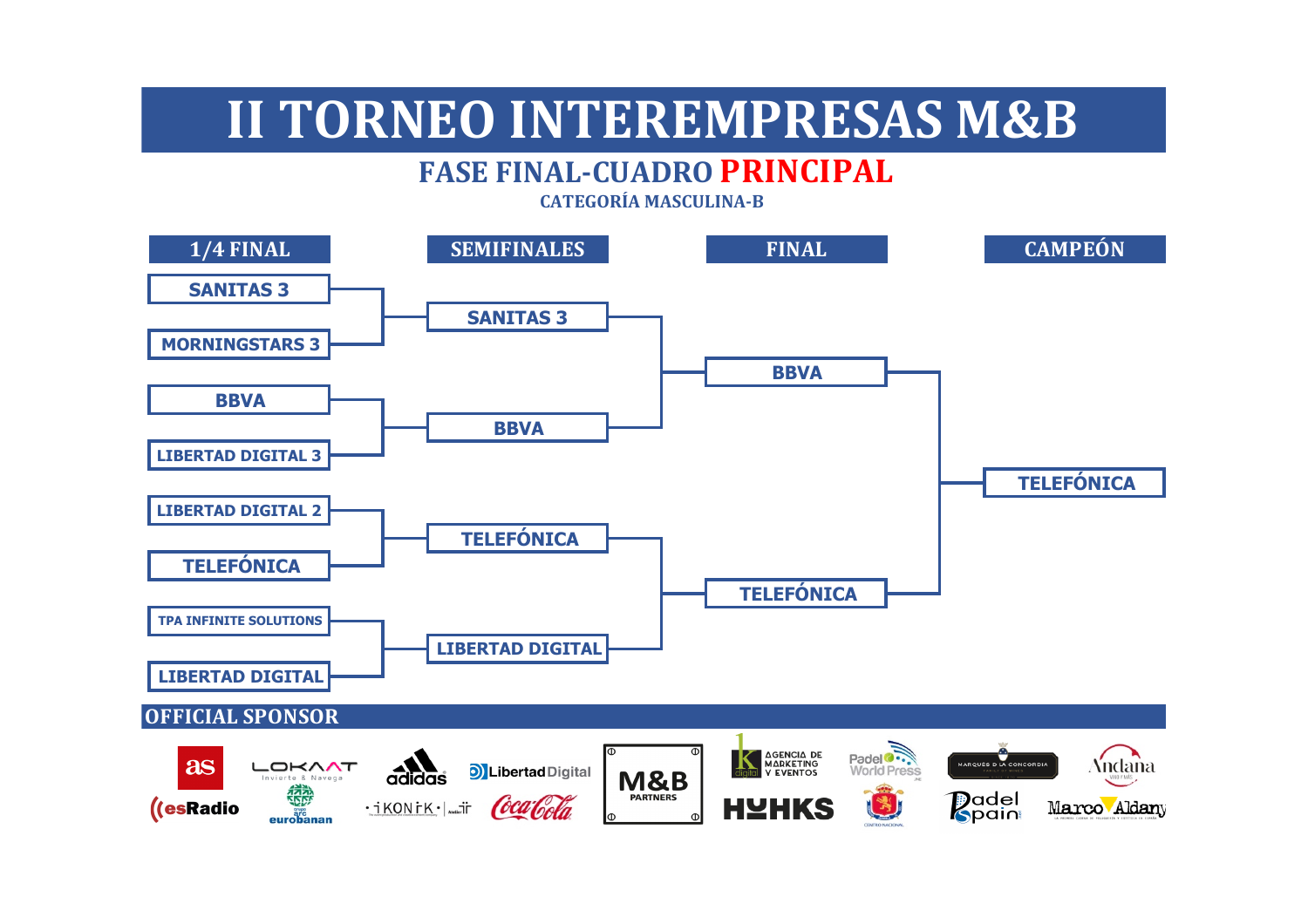#### **FASE FINAL-CUADRO PRINCIPAL**

**1/4 FINAL SEMIFINALES FINAL CAMPEÓN SANITAS 3 SANITAS 3 MORNINGSTARS 3 BBVA BBVA BBVA LIBERTAD DIGITAL 3 TELEFÓNICA LIBERTAD DIGITAL 2 TELEFÓNICA TELEFÓNICA TELEFÓNICA TPA INFINITE SOLUTIONS LIBERTAD DIGITALLIBERTAD DIGITAL OFFICIAL SPONSOR** Padel<sup>o</sup><br>World Press AGENCIA DE MARQUÉS D LA CONCORDI Andana as LOKAAT D Libertad Digital  $\overline{\overline{\mathrm{a}}\mathrm{d} \overline{\mathrm{d}}\mathrm{d} \overline{\mathrm{d}}\mathrm{d} \overline{\mathrm{d}}$ **M&B** nvierte & Navena **Padel**<br>**R**pain PARTNERS **HYHKS**  $\cdot$ ikonik $\cdot$  =  $\theta$ caloda ((esRadio Marco Aldany

**CATEGORÍA MASCULINA-B**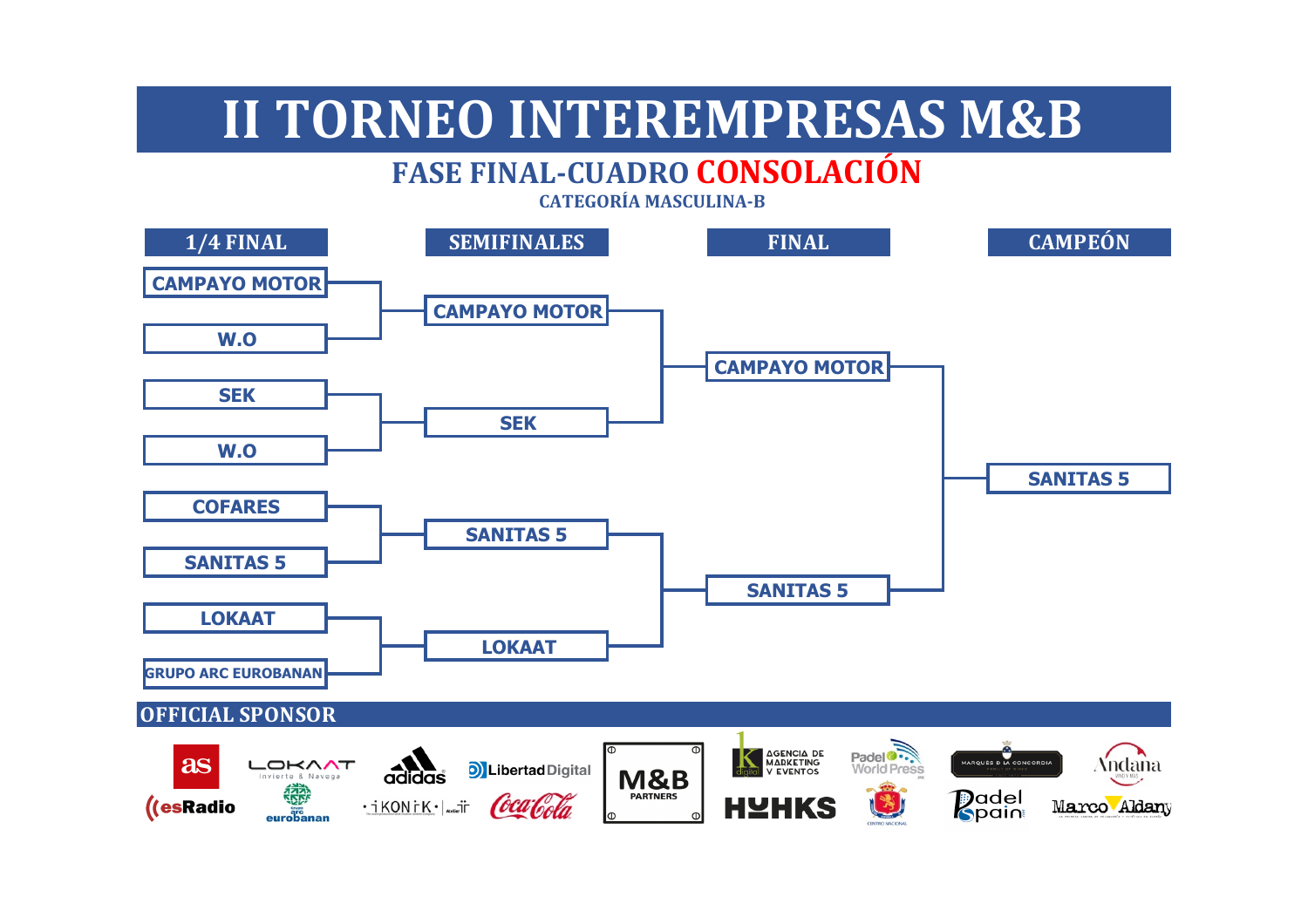### **FASE FINAL-CUADRO CONSOLACIÓN**